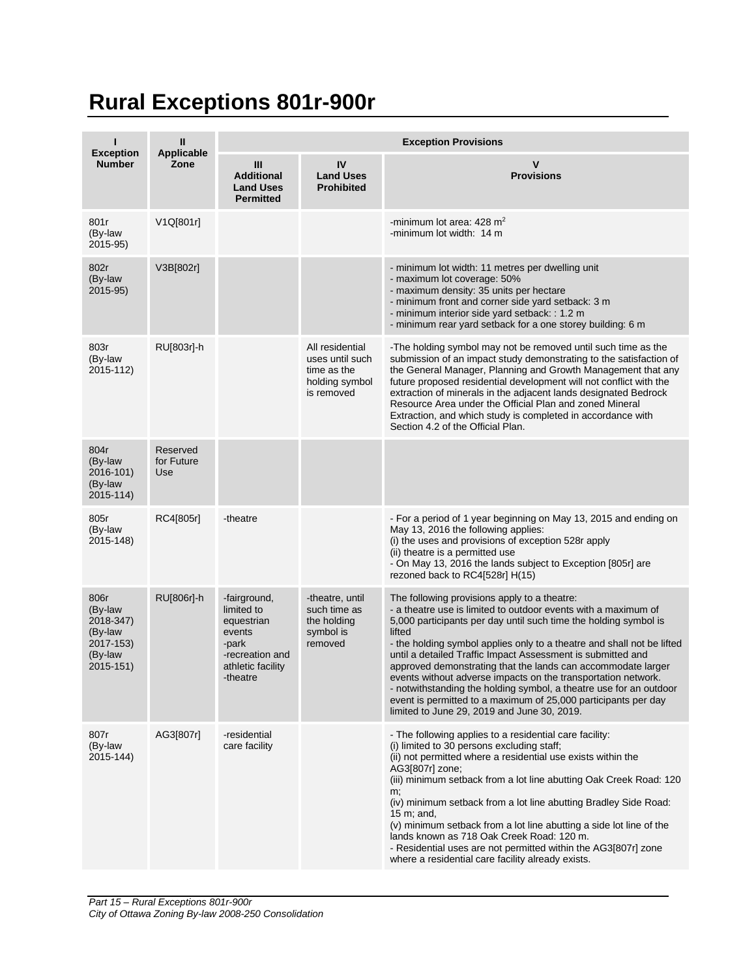## **Rural Exceptions 801r-900r**

|                                                                              | $\mathbf{I}$                  | <b>Exception Provisions</b>                                                                                     |                                                                                   |                                                                                                                                                                                                                                                                                                                                                                                                                                                                                                                                                                                                                                                               |  |  |
|------------------------------------------------------------------------------|-------------------------------|-----------------------------------------------------------------------------------------------------------------|-----------------------------------------------------------------------------------|---------------------------------------------------------------------------------------------------------------------------------------------------------------------------------------------------------------------------------------------------------------------------------------------------------------------------------------------------------------------------------------------------------------------------------------------------------------------------------------------------------------------------------------------------------------------------------------------------------------------------------------------------------------|--|--|
| <b>Exception</b><br><b>Number</b>                                            | Applicable<br>Zone            | Ш<br><b>Additional</b><br><b>Land Uses</b><br><b>Permitted</b>                                                  | IV<br><b>Land Uses</b><br><b>Prohibited</b>                                       | $\mathbf v$<br><b>Provisions</b>                                                                                                                                                                                                                                                                                                                                                                                                                                                                                                                                                                                                                              |  |  |
| 801r<br>(By-law<br>2015-95)                                                  | V1Q[801r]                     |                                                                                                                 |                                                                                   | -minimum lot area: 428 m <sup>2</sup><br>-minimum lot width: 14 m                                                                                                                                                                                                                                                                                                                                                                                                                                                                                                                                                                                             |  |  |
| 802r<br>(By-law<br>2015-95)                                                  | V3B[802r]                     |                                                                                                                 |                                                                                   | - minimum lot width: 11 metres per dwelling unit<br>- maximum lot coverage: 50%<br>- maximum density: 35 units per hectare<br>- minimum front and corner side yard setback: 3 m<br>- minimum interior side yard setback: : 1.2 m<br>- minimum rear yard setback for a one storey building: 6 m                                                                                                                                                                                                                                                                                                                                                                |  |  |
| 803r<br>(By-law<br>2015-112)                                                 | RU[803r]-h                    |                                                                                                                 | All residential<br>uses until such<br>time as the<br>holding symbol<br>is removed | -The holding symbol may not be removed until such time as the<br>submission of an impact study demonstrating to the satisfaction of<br>the General Manager, Planning and Growth Management that any<br>future proposed residential development will not conflict with the<br>extraction of minerals in the adjacent lands designated Bedrock<br>Resource Area under the Official Plan and zoned Mineral<br>Extraction, and which study is completed in accordance with<br>Section 4.2 of the Official Plan.                                                                                                                                                   |  |  |
| 804r<br>(By-law<br>2016-101)<br>(By-law<br>2015-114)                         | Reserved<br>for Future<br>Use |                                                                                                                 |                                                                                   |                                                                                                                                                                                                                                                                                                                                                                                                                                                                                                                                                                                                                                                               |  |  |
| 805r<br>(By-law<br>2015-148)                                                 | RC4[805r]                     | -theatre                                                                                                        |                                                                                   | - For a period of 1 year beginning on May 13, 2015 and ending on<br>May 13, 2016 the following applies:<br>(i) the uses and provisions of exception 528 rapply<br>(ii) theatre is a permitted use<br>- On May 13, 2016 the lands subject to Exception [805r] are<br>rezoned back to RC4[528r] H(15)                                                                                                                                                                                                                                                                                                                                                           |  |  |
| 806r<br>(By-law<br>2018-347)<br>(By-law<br>2017-153)<br>(By-law<br>2015-151) | RU[806r]-h                    | -fairground,<br>limited to<br>equestrian<br>events<br>-park<br>-recreation and<br>athletic facility<br>-theatre | -theatre, until<br>such time as<br>the holding<br>symbol is<br>removed            | The following provisions apply to a theatre:<br>- a theatre use is limited to outdoor events with a maximum of<br>5,000 participants per day until such time the holding symbol is<br>lifted<br>- the holding symbol applies only to a theatre and shall not be lifted<br>until a detailed Traffic Impact Assessment is submitted and<br>approved demonstrating that the lands can accommodate larger<br>events without adverse impacts on the transportation network.<br>- notwithstanding the holding symbol, a theatre use for an outdoor<br>event is permitted to a maximum of 25,000 participants per day<br>limited to June 29, 2019 and June 30, 2019. |  |  |
| 807r<br>(By-law<br>2015-144)                                                 | AG3[807r]                     | -residential<br>care facility                                                                                   |                                                                                   | - The following applies to a residential care facility:<br>(i) limited to 30 persons excluding staff;<br>(ii) not permitted where a residential use exists within the<br>AG3[807r] zone;<br>(iii) minimum setback from a lot line abutting Oak Creek Road: 120<br>m;<br>(iv) minimum setback from a lot line abutting Bradley Side Road:<br>15 m; and,<br>(v) minimum setback from a lot line abutting a side lot line of the<br>lands known as 718 Oak Creek Road: 120 m.<br>- Residential uses are not permitted within the AG3[807r] zone<br>where a residential care facility already exists.                                                             |  |  |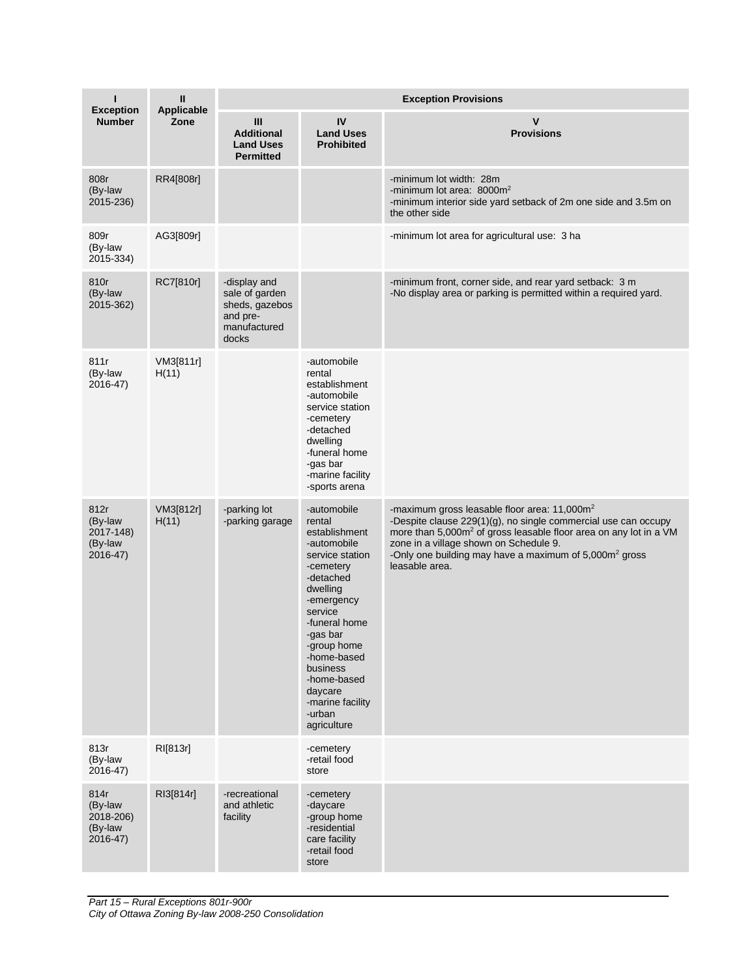| <b>Exception</b>                                       | $\mathbf{I}$<br>Applicable | <b>Exception Provisions</b>                                                           |                                                                                                                                                                                                                                                                                       |                                                                                                                                                                                                                                                                                                                                               |  |
|--------------------------------------------------------|----------------------------|---------------------------------------------------------------------------------------|---------------------------------------------------------------------------------------------------------------------------------------------------------------------------------------------------------------------------------------------------------------------------------------|-----------------------------------------------------------------------------------------------------------------------------------------------------------------------------------------------------------------------------------------------------------------------------------------------------------------------------------------------|--|
| <b>Number</b>                                          | Zone                       | Ш<br><b>Additional</b><br><b>Land Uses</b><br><b>Permitted</b>                        | IV<br><b>Land Uses</b><br><b>Prohibited</b>                                                                                                                                                                                                                                           | v<br><b>Provisions</b>                                                                                                                                                                                                                                                                                                                        |  |
| 808r<br>(By-law<br>2015-236)                           | RR4[808r]                  |                                                                                       |                                                                                                                                                                                                                                                                                       | -minimum lot width: 28m<br>-minimum lot area: $8000m^2$<br>-minimum interior side yard setback of 2m one side and 3.5m on<br>the other side                                                                                                                                                                                                   |  |
| 809r<br>(By-law<br>2015-334)                           | AG3[809r]                  |                                                                                       |                                                                                                                                                                                                                                                                                       | -minimum lot area for agricultural use: 3 ha                                                                                                                                                                                                                                                                                                  |  |
| 810r<br>(By-law<br>2015-362)                           | RC7[810r]                  | -display and<br>sale of garden<br>sheds, gazebos<br>and pre-<br>manufactured<br>docks |                                                                                                                                                                                                                                                                                       | -minimum front, corner side, and rear yard setback: 3 m<br>-No display area or parking is permitted within a required yard.                                                                                                                                                                                                                   |  |
| 811r<br>(By-law<br>2016-47)                            | VM3[811r]<br>H(11)         |                                                                                       | -automobile<br>rental<br>establishment<br>-automobile<br>service station<br>-cemetery<br>-detached<br>dwelling<br>-funeral home<br>-gas bar<br>-marine facility<br>-sports arena                                                                                                      |                                                                                                                                                                                                                                                                                                                                               |  |
| 812r<br>(By-law<br>2017-148)<br>(By-law<br>2016-47)    | VM3[812r]<br>H(11)         | -parking lot<br>-parking garage                                                       | -automobile<br>rental<br>establishment<br>-automobile<br>service station<br>-cemetery<br>-detached<br>dwelling<br>-emergency<br>service<br>-funeral home<br>-gas bar<br>-group home<br>-home-based<br>business<br>-home-based<br>daycare<br>-marine facility<br>-urban<br>agriculture | -maximum gross leasable floor area: 11,000m <sup>2</sup><br>-Despite clause 229(1)(g), no single commercial use can occupy<br>more than 5,000m <sup>2</sup> of gross leasable floor area on any lot in a VM<br>zone in a village shown on Schedule 9.<br>-Only one building may have a maximum of 5,000m <sup>2</sup> gross<br>leasable area. |  |
| 813r<br>(By-law<br>$2016 - 47$                         | RI[813r]                   |                                                                                       | -cemetery<br>-retail food<br>store                                                                                                                                                                                                                                                    |                                                                                                                                                                                                                                                                                                                                               |  |
| 814r<br>(By-law<br>2018-206)<br>(By-law<br>$2016 - 47$ | RI3[814r]                  | -recreational<br>and athletic<br>facility                                             | -cemetery<br>-daycare<br>-group home<br>-residential<br>care facility<br>-retail food<br>store                                                                                                                                                                                        |                                                                                                                                                                                                                                                                                                                                               |  |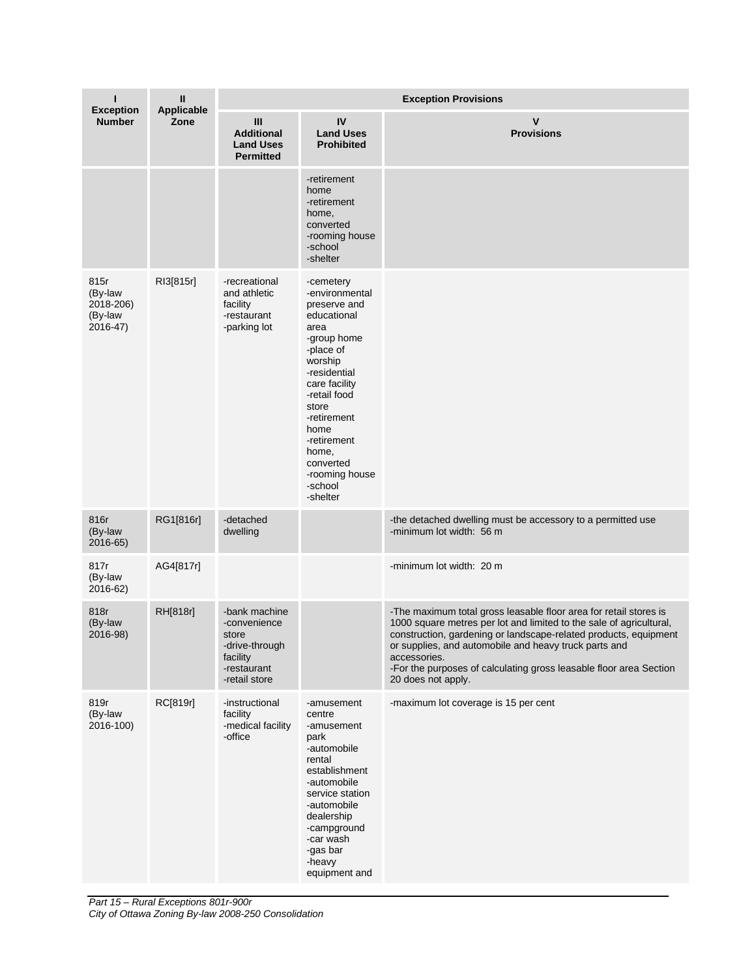| ı<br><b>Exception</b>                               | Ш<br>Applicable | <b>Exception Provisions</b>                                                                          |                                                                                                                                                                                                                                                                          |                                                                                                                                                                                                                                                                                                                                                                                   |  |
|-----------------------------------------------------|-----------------|------------------------------------------------------------------------------------------------------|--------------------------------------------------------------------------------------------------------------------------------------------------------------------------------------------------------------------------------------------------------------------------|-----------------------------------------------------------------------------------------------------------------------------------------------------------------------------------------------------------------------------------------------------------------------------------------------------------------------------------------------------------------------------------|--|
| <b>Number</b>                                       | Zone            | Ш<br><b>Additional</b><br><b>Land Uses</b><br><b>Permitted</b>                                       | IV<br><b>Land Uses</b><br><b>Prohibited</b>                                                                                                                                                                                                                              | $\mathsf{v}$<br><b>Provisions</b>                                                                                                                                                                                                                                                                                                                                                 |  |
|                                                     |                 |                                                                                                      | -retirement<br>home<br>-retirement<br>home,<br>converted<br>-rooming house<br>-school<br>-shelter                                                                                                                                                                        |                                                                                                                                                                                                                                                                                                                                                                                   |  |
| 815r<br>(By-law<br>2018-206)<br>(By-law<br>2016-47) | RI3[815r]       | -recreational<br>and athletic<br>facility<br>-restaurant<br>-parking lot                             | -cemetery<br>-environmental<br>preserve and<br>educational<br>area<br>-group home<br>-place of<br>worship<br>-residential<br>care facility<br>-retail food<br>store<br>-retirement<br>home<br>-retirement<br>home,<br>converted<br>-rooming house<br>-school<br>-shelter |                                                                                                                                                                                                                                                                                                                                                                                   |  |
| 816r<br>(By-law<br>2016-65)                         | RG1[816r]       | -detached<br>dwelling                                                                                |                                                                                                                                                                                                                                                                          | -the detached dwelling must be accessory to a permitted use<br>-minimum lot width: 56 m                                                                                                                                                                                                                                                                                           |  |
| 817r<br>(By-law<br>2016-62)                         | AG4[817r]       |                                                                                                      |                                                                                                                                                                                                                                                                          | -minimum lot width: 20 m                                                                                                                                                                                                                                                                                                                                                          |  |
| 818r<br>(By-law<br>2016-98)                         | RH[818r]        | -bank machine<br>-convenience<br>store<br>-drive-through<br>facility<br>-restaurant<br>-retail store |                                                                                                                                                                                                                                                                          | -The maximum total gross leasable floor area for retail stores is<br>1000 square metres per lot and limited to the sale of agricultural,<br>construction, gardening or landscape-related products, equipment<br>or supplies, and automobile and heavy truck parts and<br>accessories.<br>-For the purposes of calculating gross leasable floor area Section<br>20 does not apply. |  |
| 819r<br>(By-law<br>2016-100)                        | RC[819r]        | -instructional<br>facility<br>-medical facility<br>-office                                           | -amusement<br>centre<br>-amusement<br>park<br>-automobile<br>rental<br>establishment<br>-automobile<br>service station<br>-automobile<br>dealership<br>-campground<br>-car wash<br>-gas bar<br>-heavy<br>equipment and                                                   | -maximum lot coverage is 15 per cent                                                                                                                                                                                                                                                                                                                                              |  |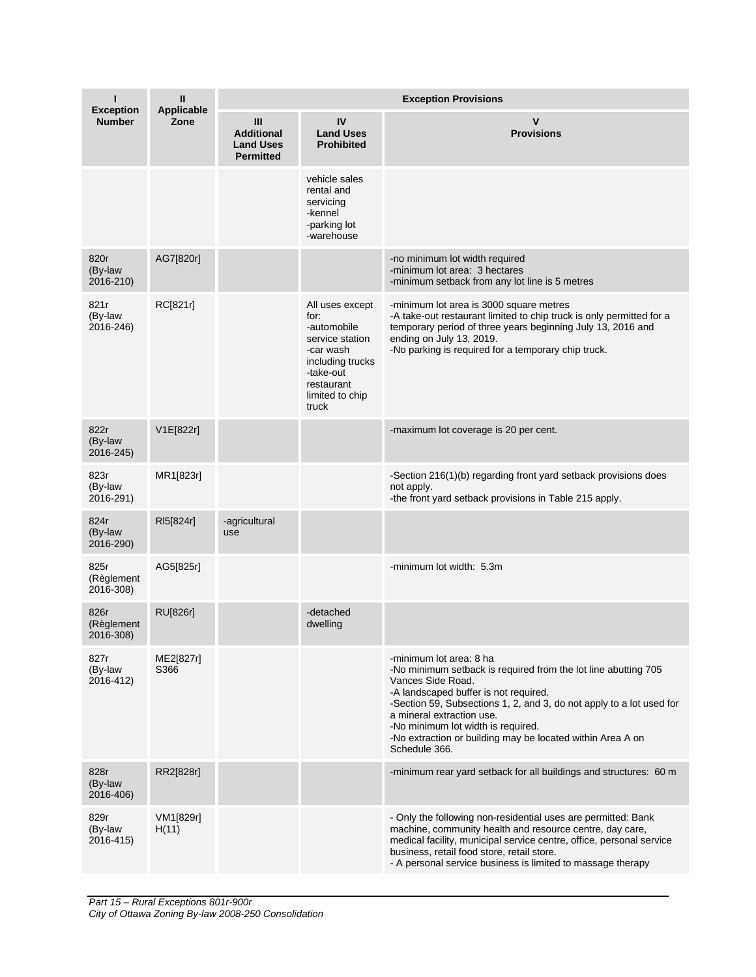| <b>Exception</b>                | Ш<br>Applicable    | <b>Exception Provisions</b>                                      |                                                                                                                                                   |                                                                                                                                                                                                                                                                                                                                                                                   |  |  |
|---------------------------------|--------------------|------------------------------------------------------------------|---------------------------------------------------------------------------------------------------------------------------------------------------|-----------------------------------------------------------------------------------------------------------------------------------------------------------------------------------------------------------------------------------------------------------------------------------------------------------------------------------------------------------------------------------|--|--|
| <b>Number</b>                   | Zone               | III<br><b>Additional</b><br><b>Land Uses</b><br><b>Permitted</b> | IV<br><b>Land Uses</b><br><b>Prohibited</b>                                                                                                       | v<br><b>Provisions</b>                                                                                                                                                                                                                                                                                                                                                            |  |  |
|                                 |                    |                                                                  | vehicle sales<br>rental and<br>servicing<br>-kennel<br>-parking lot<br>-warehouse                                                                 |                                                                                                                                                                                                                                                                                                                                                                                   |  |  |
| 820r<br>(By-law<br>2016-210)    | AG7[820r]          |                                                                  |                                                                                                                                                   | -no minimum lot width required<br>-minimum lot area: 3 hectares<br>-minimum setback from any lot line is 5 metres                                                                                                                                                                                                                                                                 |  |  |
| 821r<br>(By-law<br>2016-246)    | RC[821r]           |                                                                  | All uses except<br>for:<br>-automobile<br>service station<br>-car wash<br>including trucks<br>-take-out<br>restaurant<br>limited to chip<br>truck | -minimum lot area is 3000 square metres<br>-A take-out restaurant limited to chip truck is only permitted for a<br>temporary period of three years beginning July 13, 2016 and<br>ending on July 13, 2019.<br>-No parking is required for a temporary chip truck.                                                                                                                 |  |  |
| 822r<br>(By-law<br>2016-245)    | V1E[822r]          |                                                                  |                                                                                                                                                   | -maximum lot coverage is 20 per cent.                                                                                                                                                                                                                                                                                                                                             |  |  |
| 823r<br>(By-law<br>2016-291)    | MR1[823r]          |                                                                  |                                                                                                                                                   | -Section 216(1)(b) regarding front yard setback provisions does<br>not apply.<br>-the front yard setback provisions in Table 215 apply.                                                                                                                                                                                                                                           |  |  |
| 824r<br>(By-law<br>2016-290)    | RI5[824r]          | -agricultural<br>use                                             |                                                                                                                                                   |                                                                                                                                                                                                                                                                                                                                                                                   |  |  |
| 825r<br>(Règlement<br>2016-308) | AG5[825r]          |                                                                  |                                                                                                                                                   | -minimum lot width: 5.3m                                                                                                                                                                                                                                                                                                                                                          |  |  |
| 826r<br>(Règlement<br>2016-308) | <b>RU[826r]</b>    |                                                                  | -detached<br>dwelling                                                                                                                             |                                                                                                                                                                                                                                                                                                                                                                                   |  |  |
| 827r<br>(By-law<br>2016-412)    | ME2[827r]<br>S366  |                                                                  |                                                                                                                                                   | -minimum lot area: 8 ha<br>-No minimum setback is required from the lot line abutting 705<br>Vances Side Road.<br>-A landscaped buffer is not required.<br>-Section 59, Subsections 1, 2, and 3, do not apply to a lot used for<br>a mineral extraction use.<br>-No minimum lot width is required.<br>-No extraction or building may be located within Area A on<br>Schedule 366. |  |  |
| 828r<br>(By-law<br>2016-406)    | RR2[828r]          |                                                                  |                                                                                                                                                   | -minimum rear yard setback for all buildings and structures: 60 m                                                                                                                                                                                                                                                                                                                 |  |  |
| 829r<br>(By-law<br>2016-415)    | VM1[829r]<br>H(11) |                                                                  |                                                                                                                                                   | - Only the following non-residential uses are permitted: Bank<br>machine, community health and resource centre, day care,<br>medical facility, municipal service centre, office, personal service<br>business, retail food store, retail store.<br>- A personal service business is limited to massage therapy                                                                    |  |  |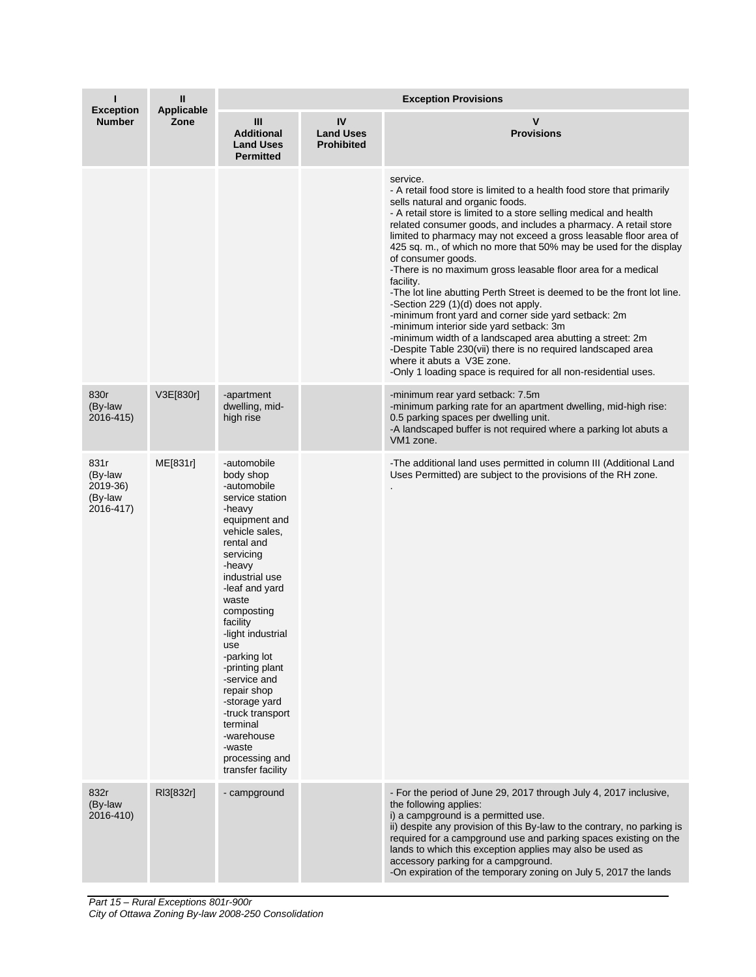| <b>Exception</b>                                    | Ш<br>Applicable | <b>Exception Provisions</b>                                                                                                                                                                                                                                                                                                                                                                                                       |                                             |                                                                                                                                                                                                                                                                                                                                                                                                                                                                                                                                                                                                                                                                                                                                                                                                                                                                                                                                                                |  |
|-----------------------------------------------------|-----------------|-----------------------------------------------------------------------------------------------------------------------------------------------------------------------------------------------------------------------------------------------------------------------------------------------------------------------------------------------------------------------------------------------------------------------------------|---------------------------------------------|----------------------------------------------------------------------------------------------------------------------------------------------------------------------------------------------------------------------------------------------------------------------------------------------------------------------------------------------------------------------------------------------------------------------------------------------------------------------------------------------------------------------------------------------------------------------------------------------------------------------------------------------------------------------------------------------------------------------------------------------------------------------------------------------------------------------------------------------------------------------------------------------------------------------------------------------------------------|--|
| <b>Number</b>                                       | Zone            | Ш<br><b>Additional</b><br><b>Land Uses</b><br><b>Permitted</b>                                                                                                                                                                                                                                                                                                                                                                    | IV<br><b>Land Uses</b><br><b>Prohibited</b> | v<br><b>Provisions</b>                                                                                                                                                                                                                                                                                                                                                                                                                                                                                                                                                                                                                                                                                                                                                                                                                                                                                                                                         |  |
|                                                     |                 |                                                                                                                                                                                                                                                                                                                                                                                                                                   |                                             | service.<br>- A retail food store is limited to a health food store that primarily<br>sells natural and organic foods.<br>- A retail store is limited to a store selling medical and health<br>related consumer goods, and includes a pharmacy. A retail store<br>limited to pharmacy may not exceed a gross leasable floor area of<br>425 sq. m., of which no more that 50% may be used for the display<br>of consumer goods.<br>-There is no maximum gross leasable floor area for a medical<br>facility.<br>-The lot line abutting Perth Street is deemed to be the front lot line.<br>-Section 229 (1)(d) does not apply.<br>-minimum front yard and corner side yard setback: 2m<br>-minimum interior side yard setback: 3m<br>-minimum width of a landscaped area abutting a street: 2m<br>-Despite Table 230(vii) there is no required landscaped area<br>where it abuts a V3E zone.<br>-Only 1 loading space is required for all non-residential uses. |  |
| 830r<br>(By-law<br>2016-415)                        | V3E[830r]       | -apartment<br>dwelling, mid-<br>high rise                                                                                                                                                                                                                                                                                                                                                                                         |                                             | -minimum rear yard setback: 7.5m<br>-minimum parking rate for an apartment dwelling, mid-high rise:<br>0.5 parking spaces per dwelling unit.<br>-A landscaped buffer is not required where a parking lot abuts a<br>VM <sub>1</sub> zone.                                                                                                                                                                                                                                                                                                                                                                                                                                                                                                                                                                                                                                                                                                                      |  |
| 831r<br>(By-law<br>2019-36)<br>(By-law<br>2016-417) | ME[831r]        | -automobile<br>body shop<br>-automobile<br>service station<br>-heavy<br>equipment and<br>vehicle sales,<br>rental and<br>servicing<br>-heavy<br>industrial use<br>-leaf and yard<br>waste<br>composting<br>facility<br>-light industrial<br>use<br>-parking lot<br>-printing plant<br>-service and<br>repair shop<br>-storage yard<br>-truck transport<br>terminal<br>-warehouse<br>-waste<br>processing and<br>transfer facility |                                             | -The additional land uses permitted in column III (Additional Land<br>Uses Permitted) are subject to the provisions of the RH zone.                                                                                                                                                                                                                                                                                                                                                                                                                                                                                                                                                                                                                                                                                                                                                                                                                            |  |
| 832r<br>(By-law<br>2016-410)                        | RI3[832r]       | - campground                                                                                                                                                                                                                                                                                                                                                                                                                      |                                             | - For the period of June 29, 2017 through July 4, 2017 inclusive,<br>the following applies:<br>i) a campground is a permitted use.<br>ii) despite any provision of this By-law to the contrary, no parking is<br>required for a campground use and parking spaces existing on the<br>lands to which this exception applies may also be used as<br>accessory parking for a campground.<br>-On expiration of the temporary zoning on July 5, 2017 the lands                                                                                                                                                                                                                                                                                                                                                                                                                                                                                                      |  |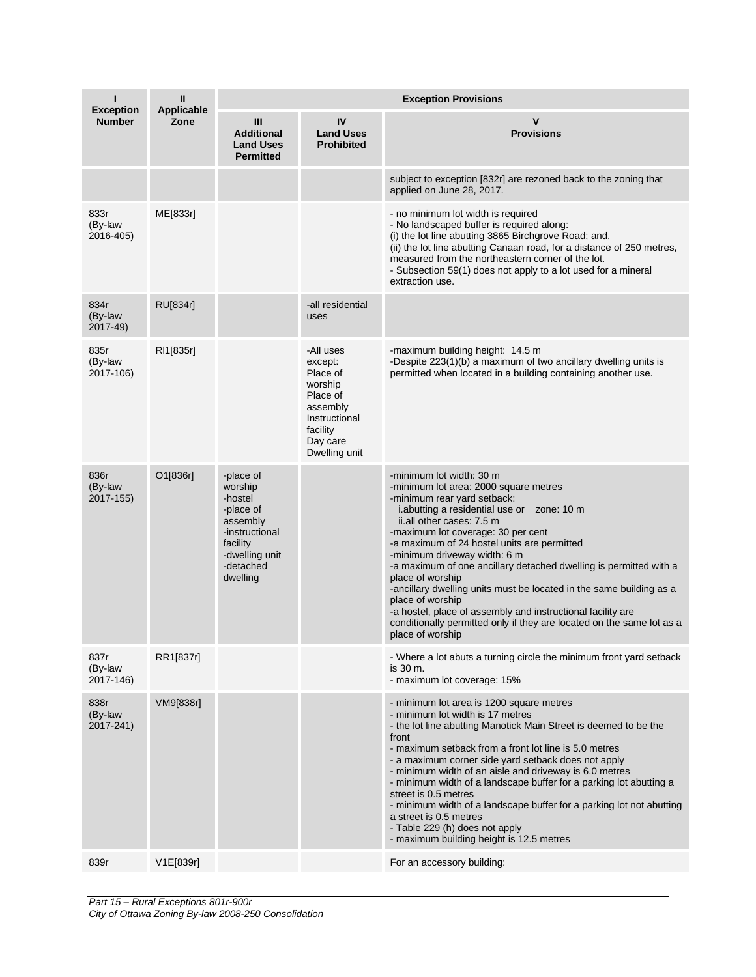| п<br><b>Exception</b>        | $\mathbf{I}$<br><b>Applicable</b> | <b>Exception Provisions</b>                                                                                                       |                                                                                                                               |                                                                                                                                                                                                                                                                                                                                                                                                                                                                                                                                                                                                                                                  |  |  |
|------------------------------|-----------------------------------|-----------------------------------------------------------------------------------------------------------------------------------|-------------------------------------------------------------------------------------------------------------------------------|--------------------------------------------------------------------------------------------------------------------------------------------------------------------------------------------------------------------------------------------------------------------------------------------------------------------------------------------------------------------------------------------------------------------------------------------------------------------------------------------------------------------------------------------------------------------------------------------------------------------------------------------------|--|--|
| <b>Number</b>                | Zone                              | Ш<br><b>Additional</b><br><b>Land Uses</b><br><b>Permitted</b>                                                                    | IV<br><b>Land Uses</b><br><b>Prohibited</b>                                                                                   | $\mathbf v$<br><b>Provisions</b>                                                                                                                                                                                                                                                                                                                                                                                                                                                                                                                                                                                                                 |  |  |
|                              |                                   |                                                                                                                                   |                                                                                                                               | subject to exception [832r] are rezoned back to the zoning that<br>applied on June 28, 2017.                                                                                                                                                                                                                                                                                                                                                                                                                                                                                                                                                     |  |  |
| 833r<br>(By-law<br>2016-405) | ME[833r]                          |                                                                                                                                   |                                                                                                                               | - no minimum lot width is required<br>- No landscaped buffer is required along:<br>(i) the lot line abutting 3865 Birchgrove Road; and,<br>(ii) the lot line abutting Canaan road, for a distance of 250 metres,<br>measured from the northeastern corner of the lot.<br>- Subsection 59(1) does not apply to a lot used for a mineral<br>extraction use.                                                                                                                                                                                                                                                                                        |  |  |
| 834r<br>(By-law<br>2017-49)  | RU[834r]                          |                                                                                                                                   | -all residential<br>uses                                                                                                      |                                                                                                                                                                                                                                                                                                                                                                                                                                                                                                                                                                                                                                                  |  |  |
| 835r<br>(By-law<br>2017-106) | RI1[835r]                         |                                                                                                                                   | -All uses<br>except:<br>Place of<br>worship<br>Place of<br>assembly<br>Instructional<br>facility<br>Day care<br>Dwelling unit | -maximum building height: 14.5 m<br>-Despite 223(1)(b) a maximum of two ancillary dwelling units is<br>permitted when located in a building containing another use.                                                                                                                                                                                                                                                                                                                                                                                                                                                                              |  |  |
| 836r<br>(By-law<br>2017-155) | O1[836r]                          | -place of<br>worship<br>-hostel<br>-place of<br>assembly<br>-instructional<br>facility<br>-dwelling unit<br>-detached<br>dwelling |                                                                                                                               | -minimum lot width: 30 m<br>-minimum lot area: 2000 square metres<br>-minimum rear yard setback:<br>i.abutting a residential use or zone: 10 m<br>ii.all other cases: 7.5 m<br>-maximum lot coverage: 30 per cent<br>-a maximum of 24 hostel units are permitted<br>-minimum driveway width: 6 m<br>-a maximum of one ancillary detached dwelling is permitted with a<br>place of worship<br>-ancillary dwelling units must be located in the same building as a<br>place of worship<br>-a hostel, place of assembly and instructional facility are<br>conditionally permitted only if they are located on the same lot as a<br>place of worship |  |  |
| 837r<br>(By-law<br>2017-146) | RR1[837r]                         |                                                                                                                                   |                                                                                                                               | - Where a lot abuts a turning circle the minimum front yard setback<br>is 30 m.<br>- maximum lot coverage: 15%                                                                                                                                                                                                                                                                                                                                                                                                                                                                                                                                   |  |  |
| 838r<br>(By-law<br>2017-241) | VM9[838r]                         |                                                                                                                                   |                                                                                                                               | - minimum lot area is 1200 square metres<br>- minimum lot width is 17 metres<br>- the lot line abutting Manotick Main Street is deemed to be the<br>front<br>- maximum setback from a front lot line is 5.0 metres<br>- a maximum corner side yard setback does not apply<br>- minimum width of an aisle and driveway is 6.0 metres<br>- minimum width of a landscape buffer for a parking lot abutting a<br>street is 0.5 metres<br>- minimum width of a landscape buffer for a parking lot not abutting<br>a street is 0.5 metres<br>- Table 229 (h) does not apply<br>- maximum building height is 12.5 metres                                |  |  |
| 839r                         | V1E[839r]                         |                                                                                                                                   |                                                                                                                               | For an accessory building:                                                                                                                                                                                                                                                                                                                                                                                                                                                                                                                                                                                                                       |  |  |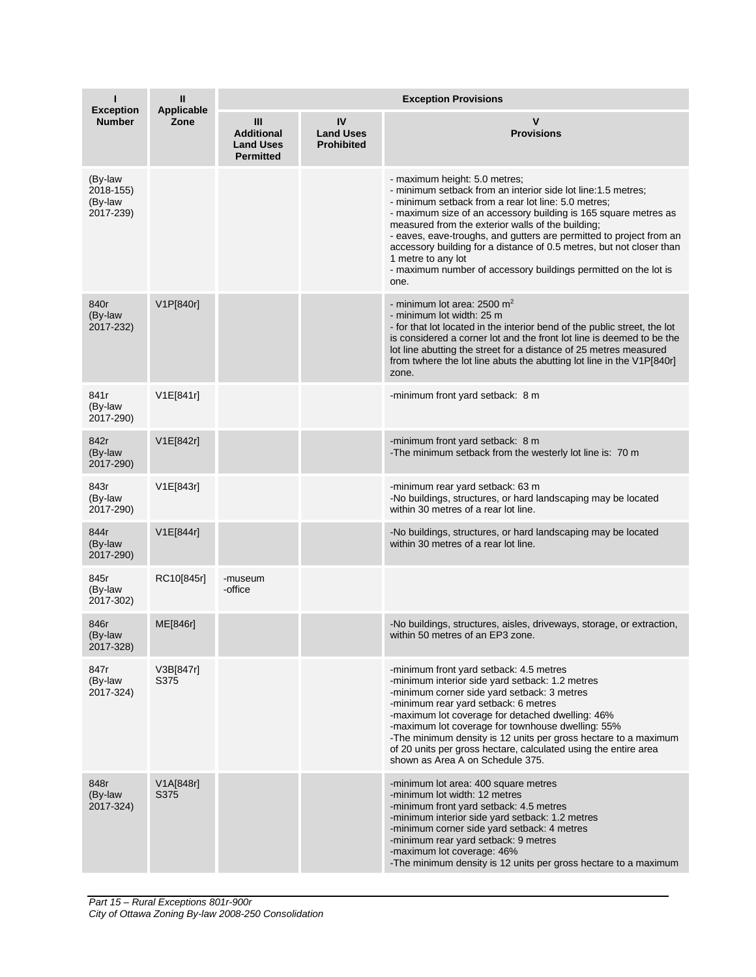| ı<br><b>Exception</b>                        | Ш<br><b>Applicable</b> | <b>Exception Provisions</b>                                    |                                             |                                                                                                                                                                                                                                                                                                                                                                                                                                                                                                                              |  |  |
|----------------------------------------------|------------------------|----------------------------------------------------------------|---------------------------------------------|------------------------------------------------------------------------------------------------------------------------------------------------------------------------------------------------------------------------------------------------------------------------------------------------------------------------------------------------------------------------------------------------------------------------------------------------------------------------------------------------------------------------------|--|--|
| <b>Number</b>                                | Zone                   | Ш<br><b>Additional</b><br><b>Land Uses</b><br><b>Permitted</b> | IV<br><b>Land Uses</b><br><b>Prohibited</b> | ۷<br><b>Provisions</b>                                                                                                                                                                                                                                                                                                                                                                                                                                                                                                       |  |  |
| (By-law<br>2018-155)<br>(By-law<br>2017-239) |                        |                                                                |                                             | - maximum height: 5.0 metres;<br>- minimum setback from an interior side lot line:1.5 metres;<br>- minimum setback from a rear lot line: 5.0 metres;<br>- maximum size of an accessory building is 165 square metres as<br>measured from the exterior walls of the building;<br>- eaves, eave-troughs, and gutters are permitted to project from an<br>accessory building for a distance of 0.5 metres, but not closer than<br>1 metre to any lot<br>- maximum number of accessory buildings permitted on the lot is<br>one. |  |  |
| 840r<br>(By-law<br>2017-232)                 | V1P[840r]              |                                                                |                                             | - minimum lot area: $2500 \text{ m}^2$<br>- minimum lot width: 25 m<br>- for that lot located in the interior bend of the public street, the lot<br>is considered a corner lot and the front lot line is deemed to be the<br>lot line abutting the street for a distance of 25 metres measured<br>from twhere the lot line abuts the abutting lot line in the V1P[840r]<br>zone.                                                                                                                                             |  |  |
| 841r<br>(By-law<br>2017-290)                 | V1E[841r]              |                                                                |                                             | -minimum front yard setback: 8 m                                                                                                                                                                                                                                                                                                                                                                                                                                                                                             |  |  |
| 842r<br>(By-law<br>2017-290)                 | V1E[842r]              |                                                                |                                             | -minimum front yard setback: 8 m<br>-The minimum setback from the westerly lot line is: 70 m                                                                                                                                                                                                                                                                                                                                                                                                                                 |  |  |
| 843r<br>(By-law<br>2017-290)                 | V1E[843r]              |                                                                |                                             | -minimum rear yard setback: 63 m<br>-No buildings, structures, or hard landscaping may be located<br>within 30 metres of a rear lot line.                                                                                                                                                                                                                                                                                                                                                                                    |  |  |
| 844r<br>(By-law<br>2017-290)                 | V1E[844r]              |                                                                |                                             | -No buildings, structures, or hard landscaping may be located<br>within 30 metres of a rear lot line.                                                                                                                                                                                                                                                                                                                                                                                                                        |  |  |
| 845r<br>(By-law<br>2017-302)                 | RC10[845r]             | -museum<br>-office                                             |                                             |                                                                                                                                                                                                                                                                                                                                                                                                                                                                                                                              |  |  |
| 846r<br>(By-law<br>2017-328)                 | ME[846r]               |                                                                |                                             | -No buildings, structures, aisles, driveways, storage, or extraction,<br>within 50 metres of an EP3 zone.                                                                                                                                                                                                                                                                                                                                                                                                                    |  |  |
| 847r<br>(By-law<br>2017-324)                 | V3B[847r]<br>S375      |                                                                |                                             | -minimum front yard setback: 4.5 metres<br>-minimum interior side yard setback: 1.2 metres<br>-minimum corner side yard setback: 3 metres<br>-minimum rear yard setback: 6 metres<br>-maximum lot coverage for detached dwelling: 46%<br>-maximum lot coverage for townhouse dwelling: 55%<br>-The minimum density is 12 units per gross hectare to a maximum<br>of 20 units per gross hectare, calculated using the entire area<br>shown as Area A on Schedule 375.                                                         |  |  |
| 848r<br>(By-law<br>2017-324)                 | V1A[848r]<br>S375      |                                                                |                                             | -minimum lot area: 400 square metres<br>-minimum lot width: 12 metres<br>-minimum front yard setback: 4.5 metres<br>-minimum interior side yard setback: 1.2 metres<br>-minimum corner side yard setback: 4 metres<br>-minimum rear yard setback: 9 metres<br>-maximum lot coverage: 46%<br>-The minimum density is 12 units per gross hectare to a maximum                                                                                                                                                                  |  |  |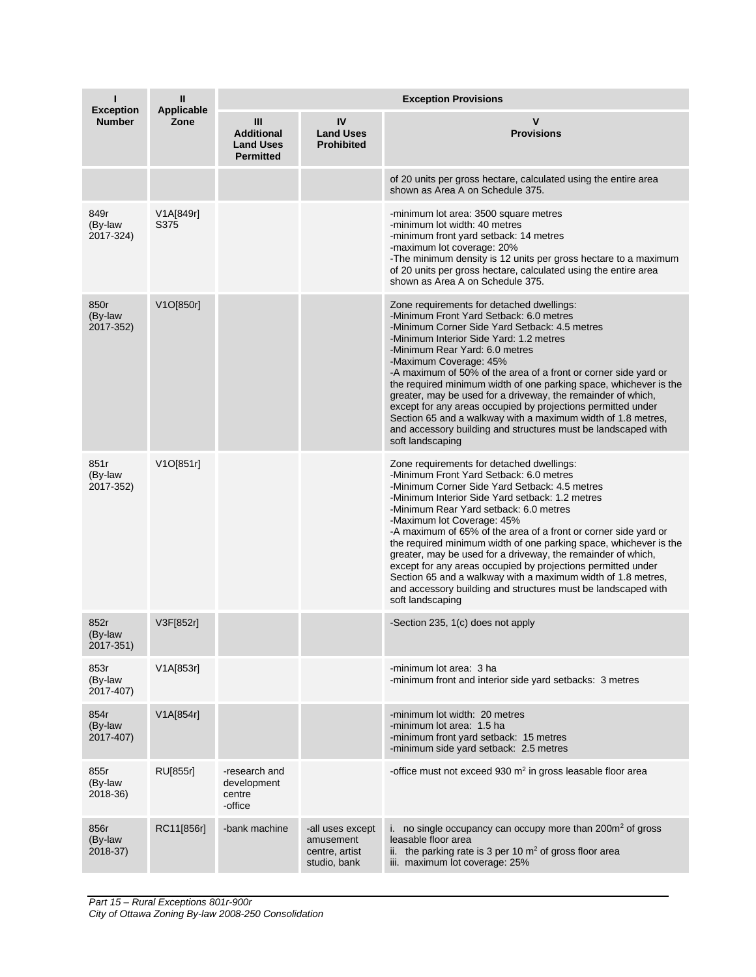| <b>Exception</b>             | $\mathbf{I}$<br><b>Applicable</b> | <b>Exception Provisions</b>                                      |                                                                 |                                                                                                                                                                                                                                                                                                                                                                                                                                                                                                                                                                                                                                                                                               |  |  |
|------------------------------|-----------------------------------|------------------------------------------------------------------|-----------------------------------------------------------------|-----------------------------------------------------------------------------------------------------------------------------------------------------------------------------------------------------------------------------------------------------------------------------------------------------------------------------------------------------------------------------------------------------------------------------------------------------------------------------------------------------------------------------------------------------------------------------------------------------------------------------------------------------------------------------------------------|--|--|
| <b>Number</b>                | Zone                              | III<br><b>Additional</b><br><b>Land Uses</b><br><b>Permitted</b> | IV<br><b>Land Uses</b><br><b>Prohibited</b>                     | v<br><b>Provisions</b>                                                                                                                                                                                                                                                                                                                                                                                                                                                                                                                                                                                                                                                                        |  |  |
|                              |                                   |                                                                  |                                                                 | of 20 units per gross hectare, calculated using the entire area<br>shown as Area A on Schedule 375.                                                                                                                                                                                                                                                                                                                                                                                                                                                                                                                                                                                           |  |  |
| 849r<br>(By-law<br>2017-324) | V1A[849r]<br>S375                 |                                                                  |                                                                 | -minimum lot area: 3500 square metres<br>-minimum lot width: 40 metres<br>-minimum front yard setback: 14 metres<br>-maximum lot coverage: 20%<br>-The minimum density is 12 units per gross hectare to a maximum<br>of 20 units per gross hectare, calculated using the entire area<br>shown as Area A on Schedule 375.                                                                                                                                                                                                                                                                                                                                                                      |  |  |
| 850r<br>(By-law<br>2017-352) | V1O[850r]                         |                                                                  |                                                                 | Zone requirements for detached dwellings:<br>-Minimum Front Yard Setback: 6.0 metres<br>-Minimum Corner Side Yard Setback: 4.5 metres<br>-Minimum Interior Side Yard: 1.2 metres<br>-Minimum Rear Yard: 6.0 metres<br>-Maximum Coverage: 45%<br>-A maximum of 50% of the area of a front or corner side yard or<br>the required minimum width of one parking space, whichever is the<br>greater, may be used for a driveway, the remainder of which,<br>except for any areas occupied by projections permitted under<br>Section 65 and a walkway with a maximum width of 1.8 metres,<br>and accessory building and structures must be landscaped with<br>soft landscaping                     |  |  |
| 851r<br>(By-law<br>2017-352) | V1O[851r]                         |                                                                  |                                                                 | Zone requirements for detached dwellings:<br>-Minimum Front Yard Setback: 6.0 metres<br>-Minimum Corner Side Yard Setback: 4.5 metres<br>-Minimum Interior Side Yard setback: 1.2 metres<br>-Minimum Rear Yard setback: 6.0 metres<br>-Maximum lot Coverage: 45%<br>-A maximum of 65% of the area of a front or corner side yard or<br>the required minimum width of one parking space, whichever is the<br>greater, may be used for a driveway, the remainder of which,<br>except for any areas occupied by projections permitted under<br>Section 65 and a walkway with a maximum width of 1.8 metres,<br>and accessory building and structures must be landscaped with<br>soft landscaping |  |  |
| 852r<br>(By-law<br>2017-351) | V3F[852r]                         |                                                                  |                                                                 | -Section 235, 1(c) does not apply                                                                                                                                                                                                                                                                                                                                                                                                                                                                                                                                                                                                                                                             |  |  |
| 853r<br>(By-law<br>2017-407) | V1A[853r]                         |                                                                  |                                                                 | -minimum lot area: 3 ha<br>-minimum front and interior side yard setbacks: 3 metres                                                                                                                                                                                                                                                                                                                                                                                                                                                                                                                                                                                                           |  |  |
| 854r<br>(By-law<br>2017-407) | V1A[854r]                         |                                                                  |                                                                 | -minimum lot width: 20 metres<br>-minimum lot area: 1.5 ha<br>-minimum front yard setback: 15 metres<br>-minimum side yard setback: 2.5 metres                                                                                                                                                                                                                                                                                                                                                                                                                                                                                                                                                |  |  |
| 855r<br>(By-law<br>2018-36)  | RU[855r]                          | -research and<br>development<br>centre<br>-office                |                                                                 | -office must not exceed 930 m <sup>2</sup> in gross leasable floor area                                                                                                                                                                                                                                                                                                                                                                                                                                                                                                                                                                                                                       |  |  |
| 856r<br>(By-law<br>2018-37)  | RC11[856r]                        | -bank machine                                                    | -all uses except<br>amusement<br>centre, artist<br>studio, bank | i. no single occupancy can occupy more than $200m^2$ of gross<br>leasable floor area<br>ii. the parking rate is 3 per 10 $m2$ of gross floor area<br>iii. maximum lot coverage: 25%                                                                                                                                                                                                                                                                                                                                                                                                                                                                                                           |  |  |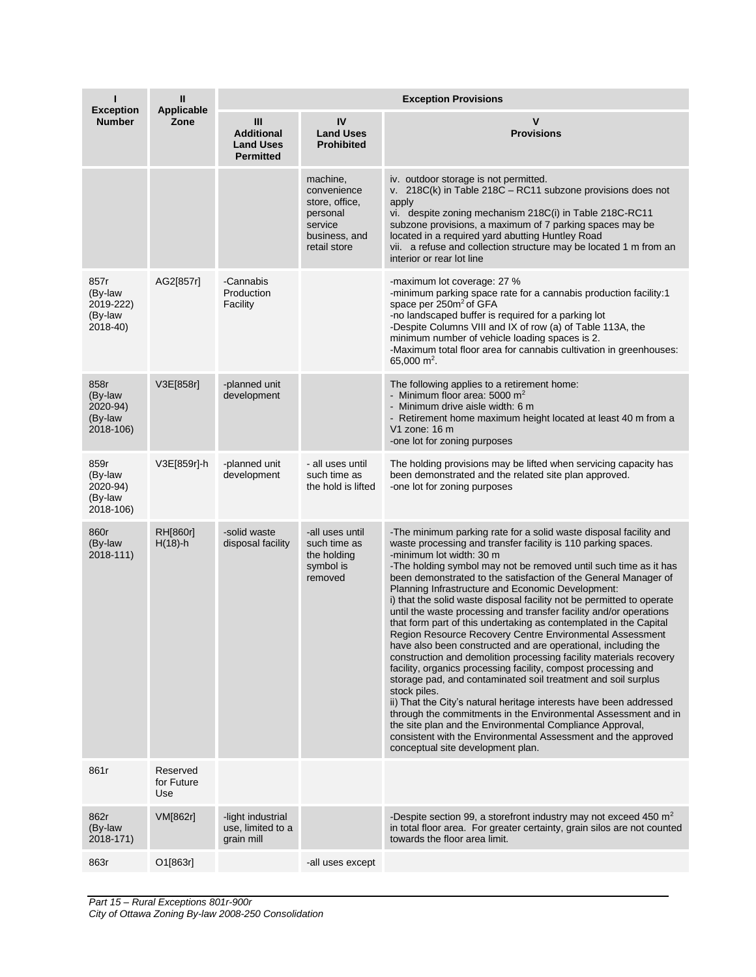| <b>Exception</b>                                    | Ш<br>Applicable               | <b>Exception Provisions</b>                                    |                                                                                                   |                                                                                                                                                                                                                                                                                                                                                                                                                                                                                                                                                                                                                                                                                                                                                                                                                                                                                                                                                                                                                                                                                                                                                                                                                                                |  |  |
|-----------------------------------------------------|-------------------------------|----------------------------------------------------------------|---------------------------------------------------------------------------------------------------|------------------------------------------------------------------------------------------------------------------------------------------------------------------------------------------------------------------------------------------------------------------------------------------------------------------------------------------------------------------------------------------------------------------------------------------------------------------------------------------------------------------------------------------------------------------------------------------------------------------------------------------------------------------------------------------------------------------------------------------------------------------------------------------------------------------------------------------------------------------------------------------------------------------------------------------------------------------------------------------------------------------------------------------------------------------------------------------------------------------------------------------------------------------------------------------------------------------------------------------------|--|--|
| <b>Number</b>                                       | Zone                          | Ш<br><b>Additional</b><br><b>Land Uses</b><br><b>Permitted</b> | IV<br><b>Land Uses</b><br><b>Prohibited</b>                                                       | v<br><b>Provisions</b>                                                                                                                                                                                                                                                                                                                                                                                                                                                                                                                                                                                                                                                                                                                                                                                                                                                                                                                                                                                                                                                                                                                                                                                                                         |  |  |
|                                                     |                               |                                                                | machine,<br>convenience<br>store, office,<br>personal<br>service<br>business, and<br>retail store | iv. outdoor storage is not permitted.<br>v. 218C(k) in Table 218C - RC11 subzone provisions does not<br>apply<br>vi. despite zoning mechanism 218C(i) in Table 218C-RC11<br>subzone provisions, a maximum of 7 parking spaces may be<br>located in a required yard abutting Huntley Road<br>vii. a refuse and collection structure may be located 1 m from an<br>interior or rear lot line                                                                                                                                                                                                                                                                                                                                                                                                                                                                                                                                                                                                                                                                                                                                                                                                                                                     |  |  |
| 857r<br>(By-law<br>2019-222)<br>(By-law<br>2018-40) | AG2[857r]                     | -Cannabis<br>Production<br>Facility                            |                                                                                                   | -maximum lot coverage: 27 %<br>-minimum parking space rate for a cannabis production facility:1<br>space per 250m <sup>2</sup> of GFA<br>-no landscaped buffer is required for a parking lot<br>-Despite Columns VIII and IX of row (a) of Table 113A, the<br>minimum number of vehicle loading spaces is 2.<br>-Maximum total floor area for cannabis cultivation in greenhouses:<br>65,000 m <sup>2</sup> .                                                                                                                                                                                                                                                                                                                                                                                                                                                                                                                                                                                                                                                                                                                                                                                                                                  |  |  |
| 858r<br>(By-law<br>2020-94)<br>(By-law<br>2018-106) | V3E[858r]                     | -planned unit<br>development                                   |                                                                                                   | The following applies to a retirement home:<br>- Minimum floor area: 5000 $m2$<br>- Minimum drive aisle width: 6 m<br>- Retirement home maximum height located at least 40 m from a<br>V1 zone: 16 m<br>-one lot for zoning purposes                                                                                                                                                                                                                                                                                                                                                                                                                                                                                                                                                                                                                                                                                                                                                                                                                                                                                                                                                                                                           |  |  |
| 859r<br>(By-law<br>2020-94)<br>(By-law<br>2018-106) | V3E[859r]-h                   | -planned unit<br>development                                   | - all uses until<br>such time as<br>the hold is lifted                                            | The holding provisions may be lifted when servicing capacity has<br>been demonstrated and the related site plan approved.<br>-one lot for zoning purposes                                                                                                                                                                                                                                                                                                                                                                                                                                                                                                                                                                                                                                                                                                                                                                                                                                                                                                                                                                                                                                                                                      |  |  |
| 860r<br>(By-law<br>2018-111)                        | <b>RH[860r]</b><br>$H(18)-h$  | -solid waste<br>disposal facility                              | -all uses until<br>such time as<br>the holding<br>symbol is<br>removed                            | -The minimum parking rate for a solid waste disposal facility and<br>waste processing and transfer facility is 110 parking spaces.<br>-minimum lot width: 30 m<br>-The holding symbol may not be removed until such time as it has<br>been demonstrated to the satisfaction of the General Manager of<br>Planning Infrastructure and Economic Development:<br>i) that the solid waste disposal facility not be permitted to operate<br>until the waste processing and transfer facility and/or operations<br>that form part of this undertaking as contemplated in the Capital<br>Region Resource Recovery Centre Environmental Assessment<br>have also been constructed and are operational, including the<br>construction and demolition processing facility materials recovery<br>facility, organics processing facility, compost processing and<br>storage pad, and contaminated soil treatment and soil surplus<br>stock piles.<br>ii) That the City's natural heritage interests have been addressed<br>through the commitments in the Environmental Assessment and in<br>the site plan and the Environmental Compliance Approval,<br>consistent with the Environmental Assessment and the approved<br>conceptual site development plan. |  |  |
| 861r                                                | Reserved<br>for Future<br>Use |                                                                |                                                                                                   |                                                                                                                                                                                                                                                                                                                                                                                                                                                                                                                                                                                                                                                                                                                                                                                                                                                                                                                                                                                                                                                                                                                                                                                                                                                |  |  |
| 862r<br>(By-law<br>2018-171)                        | VM[862r]                      | -light industrial<br>use, limited to a<br>grain mill           |                                                                                                   | -Despite section 99, a storefront industry may not exceed 450 $m2$<br>in total floor area. For greater certainty, grain silos are not counted<br>towards the floor area limit.                                                                                                                                                                                                                                                                                                                                                                                                                                                                                                                                                                                                                                                                                                                                                                                                                                                                                                                                                                                                                                                                 |  |  |
| 863r                                                | O1[863r]                      |                                                                | -all uses except                                                                                  |                                                                                                                                                                                                                                                                                                                                                                                                                                                                                                                                                                                                                                                                                                                                                                                                                                                                                                                                                                                                                                                                                                                                                                                                                                                |  |  |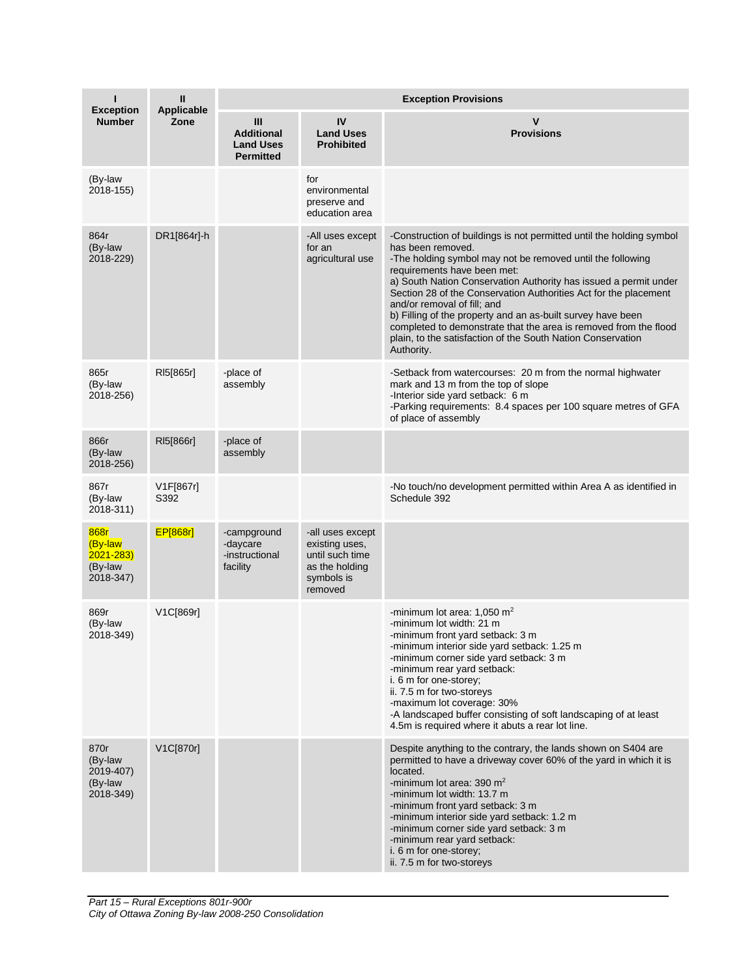| ı<br><b>Exception</b>                                   | Ш<br>Applicable   | <b>Exception Provisions</b>                                    |                                                                                                  |                                                                                                                                                                                                                                                                                                                                                                                                                                                                                                                                                                               |  |
|---------------------------------------------------------|-------------------|----------------------------------------------------------------|--------------------------------------------------------------------------------------------------|-------------------------------------------------------------------------------------------------------------------------------------------------------------------------------------------------------------------------------------------------------------------------------------------------------------------------------------------------------------------------------------------------------------------------------------------------------------------------------------------------------------------------------------------------------------------------------|--|
| <b>Number</b>                                           | Zone              | Ш<br><b>Additional</b><br><b>Land Uses</b><br><b>Permitted</b> | IV<br><b>Land Uses</b><br><b>Prohibited</b>                                                      | v<br><b>Provisions</b>                                                                                                                                                                                                                                                                                                                                                                                                                                                                                                                                                        |  |
| (By-law<br>2018-155)                                    |                   |                                                                | for<br>environmental<br>preserve and<br>education area                                           |                                                                                                                                                                                                                                                                                                                                                                                                                                                                                                                                                                               |  |
| 864r<br>(By-law<br>2018-229)                            | DR1[864r]-h       |                                                                | -All uses except<br>for an<br>agricultural use                                                   | -Construction of buildings is not permitted until the holding symbol<br>has been removed.<br>-The holding symbol may not be removed until the following<br>requirements have been met:<br>a) South Nation Conservation Authority has issued a permit under<br>Section 28 of the Conservation Authorities Act for the placement<br>and/or removal of fill; and<br>b) Filling of the property and an as-built survey have been<br>completed to demonstrate that the area is removed from the flood<br>plain, to the satisfaction of the South Nation Conservation<br>Authority. |  |
| 865r<br>(By-law<br>2018-256)                            | RI5[865r]         | -place of<br>assembly                                          |                                                                                                  | -Setback from watercourses: 20 m from the normal highwater<br>mark and 13 m from the top of slope<br>-Interior side yard setback: 6 m<br>-Parking requirements: 8.4 spaces per 100 square metres of GFA<br>of place of assembly                                                                                                                                                                                                                                                                                                                                               |  |
| 866r<br>(By-law<br>2018-256)                            | RI5[866r]         | -place of<br>assembly                                          |                                                                                                  |                                                                                                                                                                                                                                                                                                                                                                                                                                                                                                                                                                               |  |
| 867r<br>(By-law<br>2018-311)                            | V1F[867r]<br>S392 |                                                                |                                                                                                  | -No touch/no development permitted within Area A as identified in<br>Schedule 392                                                                                                                                                                                                                                                                                                                                                                                                                                                                                             |  |
| 868r<br>(By-law<br>$2021 - 283$<br>(By-law<br>2018-347) | <b>EP[868r]</b>   | -campground<br>-daycare<br>-instructional<br>facility          | -all uses except<br>existing uses,<br>until such time<br>as the holding<br>symbols is<br>removed |                                                                                                                                                                                                                                                                                                                                                                                                                                                                                                                                                                               |  |
| 869r<br>(By-law<br>2018-349)                            | V1C[869r]         |                                                                |                                                                                                  | -minimum lot area: $1.050$ m <sup>2</sup><br>-minimum lot width: 21 m<br>-minimum front yard setback: 3 m<br>-minimum interior side yard setback: 1.25 m<br>-minimum corner side yard setback: 3 m<br>-minimum rear yard setback:<br>i. 6 m for one-storey;<br>ii. 7.5 m for two-storeys<br>-maximum lot coverage: 30%<br>-A landscaped buffer consisting of soft landscaping of at least<br>4.5m is required where it abuts a rear lot line.                                                                                                                                 |  |
| 870r<br>(By-law<br>2019-407)<br>(By-law<br>2018-349)    | V1C[870r]         |                                                                |                                                                                                  | Despite anything to the contrary, the lands shown on S404 are<br>permitted to have a driveway cover 60% of the yard in which it is<br>located.<br>-minimum lot area: $390 \text{ m}^2$<br>-minimum lot width: 13.7 m<br>-minimum front yard setback: 3 m<br>-minimum interior side yard setback: 1.2 m<br>-minimum corner side yard setback: 3 m<br>-minimum rear yard setback:<br>i. 6 m for one-storey;<br>ii. 7.5 m for two-storeys                                                                                                                                        |  |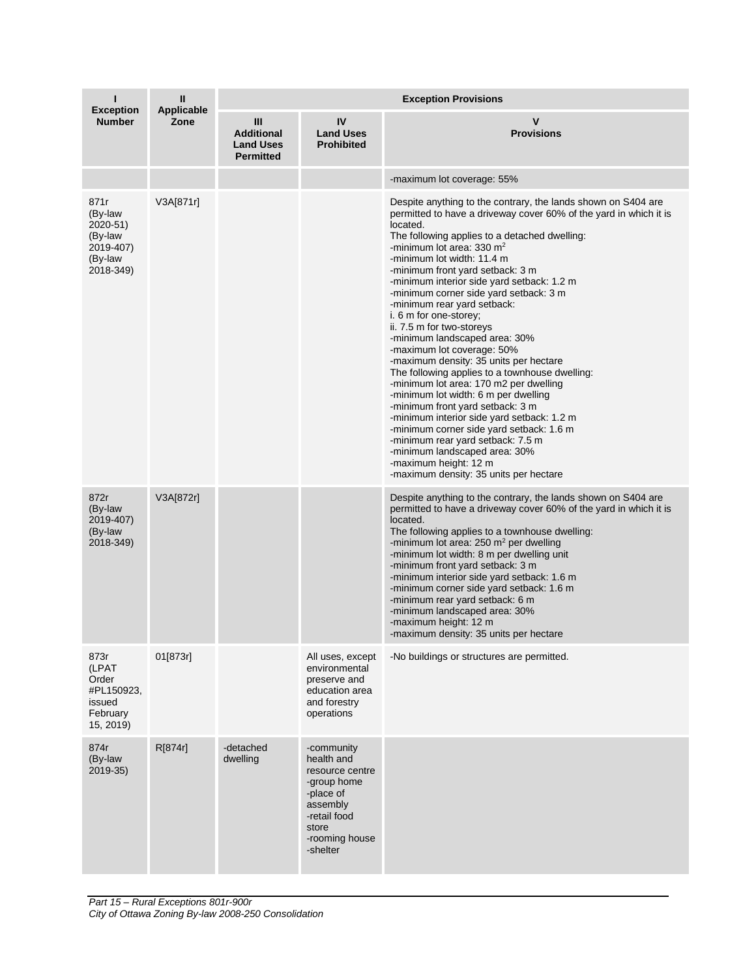| н<br><b>Exception</b>                                                       | Ш<br><b>Applicable</b> | <b>Exception Provisions</b>                                    |                                                                                                                                            |                                                                                                                                                                                                                                                                                                                                                                                                                                                                                                                                                                                                                                                                                                                                                                                                                                                                                                                                                                                                             |  |
|-----------------------------------------------------------------------------|------------------------|----------------------------------------------------------------|--------------------------------------------------------------------------------------------------------------------------------------------|-------------------------------------------------------------------------------------------------------------------------------------------------------------------------------------------------------------------------------------------------------------------------------------------------------------------------------------------------------------------------------------------------------------------------------------------------------------------------------------------------------------------------------------------------------------------------------------------------------------------------------------------------------------------------------------------------------------------------------------------------------------------------------------------------------------------------------------------------------------------------------------------------------------------------------------------------------------------------------------------------------------|--|
| <b>Number</b>                                                               | Zone                   | Ш<br><b>Additional</b><br><b>Land Uses</b><br><b>Permitted</b> | <b>IV</b><br><b>Land Uses</b><br><b>Prohibited</b>                                                                                         | v<br><b>Provisions</b>                                                                                                                                                                                                                                                                                                                                                                                                                                                                                                                                                                                                                                                                                                                                                                                                                                                                                                                                                                                      |  |
|                                                                             |                        |                                                                |                                                                                                                                            | -maximum lot coverage: 55%                                                                                                                                                                                                                                                                                                                                                                                                                                                                                                                                                                                                                                                                                                                                                                                                                                                                                                                                                                                  |  |
| 871r<br>(By-law<br>2020-51)<br>(By-law<br>2019-407)<br>(By-law<br>2018-349) | V3A[871r]              |                                                                |                                                                                                                                            | Despite anything to the contrary, the lands shown on S404 are<br>permitted to have a driveway cover 60% of the yard in which it is<br>located.<br>The following applies to a detached dwelling:<br>-minimum lot area: $330 \text{ m}^2$<br>-minimum lot width: 11.4 m<br>-minimum front yard setback: 3 m<br>-minimum interior side yard setback: 1.2 m<br>-minimum corner side yard setback: 3 m<br>-minimum rear yard setback:<br>i. 6 m for one-storey;<br>ii. 7.5 m for two-storeys<br>-minimum landscaped area: 30%<br>-maximum lot coverage: 50%<br>-maximum density: 35 units per hectare<br>The following applies to a townhouse dwelling:<br>-minimum lot area: 170 m2 per dwelling<br>-minimum lot width: 6 m per dwelling<br>-minimum front yard setback: 3 m<br>-minimum interior side yard setback: 1.2 m<br>-minimum corner side yard setback: 1.6 m<br>-minimum rear yard setback: 7.5 m<br>-minimum landscaped area: 30%<br>-maximum height: 12 m<br>-maximum density: 35 units per hectare |  |
| 872r<br>(By-law<br>2019-407)<br>(By-law<br>2018-349)                        | V3A[872r]              |                                                                |                                                                                                                                            | Despite anything to the contrary, the lands shown on S404 are<br>permitted to have a driveway cover 60% of the yard in which it is<br>located.<br>The following applies to a townhouse dwelling:<br>-minimum lot area: $250 \text{ m}^2$ per dwelling<br>-minimum lot width: 8 m per dwelling unit<br>-minimum front yard setback: 3 m<br>-minimum interior side yard setback: 1.6 m<br>-minimum corner side yard setback: 1.6 m<br>-minimum rear yard setback: 6 m<br>-minimum landscaped area: 30%<br>-maximum height: 12 m<br>-maximum density: 35 units per hectare                                                                                                                                                                                                                                                                                                                                                                                                                                     |  |
| 873r<br>(LPAT<br>Order<br>#PL150923,<br>issued<br>February<br>15, 2019)     | 01[873r]               |                                                                | All uses, except<br>environmental<br>preserve and<br>education area<br>and forestry<br>operations                                          | -No buildings or structures are permitted.                                                                                                                                                                                                                                                                                                                                                                                                                                                                                                                                                                                                                                                                                                                                                                                                                                                                                                                                                                  |  |
| 874r<br>(By-law<br>2019-35)                                                 | R[874r]                | -detached<br>dwelling                                          | -community<br>health and<br>resource centre<br>-group home<br>-place of<br>assembly<br>-retail food<br>store<br>-rooming house<br>-shelter |                                                                                                                                                                                                                                                                                                                                                                                                                                                                                                                                                                                                                                                                                                                                                                                                                                                                                                                                                                                                             |  |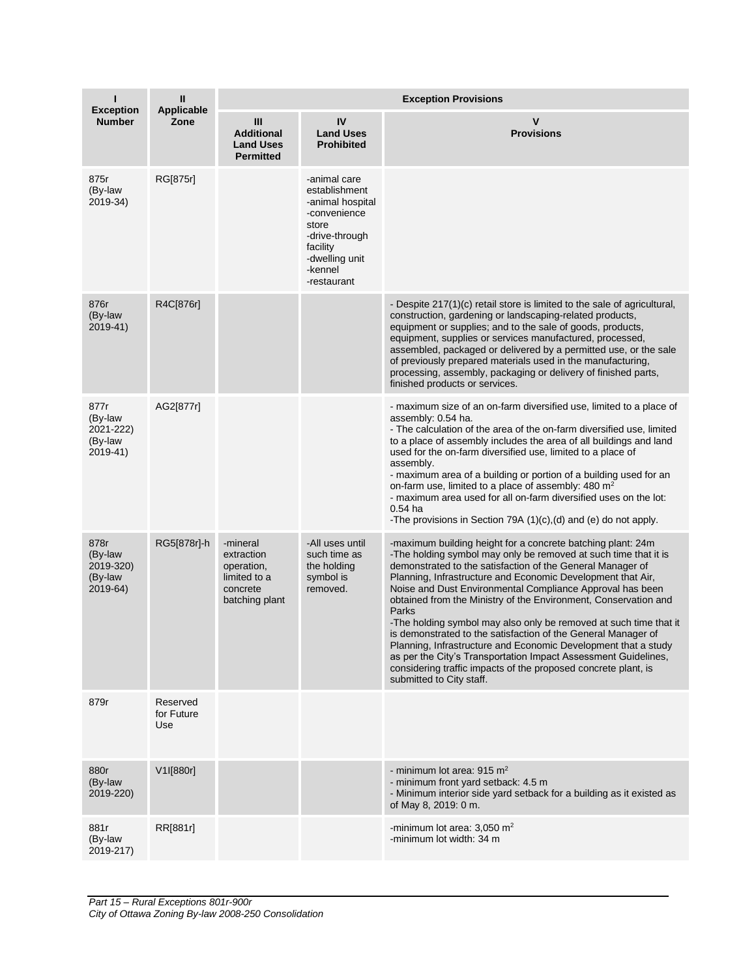| <b>Exception</b>                                    | $\mathbf{I}$                  | <b>Exception Provisions</b>                                                        |                                                                                                                                                      |                                                                                                                                                                                                                                                                                                                                                                                                                                                                                                                                                                                                                                                                                                                                                                              |  |  |
|-----------------------------------------------------|-------------------------------|------------------------------------------------------------------------------------|------------------------------------------------------------------------------------------------------------------------------------------------------|------------------------------------------------------------------------------------------------------------------------------------------------------------------------------------------------------------------------------------------------------------------------------------------------------------------------------------------------------------------------------------------------------------------------------------------------------------------------------------------------------------------------------------------------------------------------------------------------------------------------------------------------------------------------------------------------------------------------------------------------------------------------------|--|--|
| <b>Number</b>                                       | Applicable<br>Zone            | Ш<br><b>Additional</b><br><b>Land Uses</b><br><b>Permitted</b>                     | IV<br><b>Land Uses</b><br><b>Prohibited</b>                                                                                                          | $\mathsf{v}$<br><b>Provisions</b>                                                                                                                                                                                                                                                                                                                                                                                                                                                                                                                                                                                                                                                                                                                                            |  |  |
| 875r<br>(By-law<br>2019-34)                         | RG[875r]                      |                                                                                    | -animal care<br>establishment<br>-animal hospital<br>-convenience<br>store<br>-drive-through<br>facility<br>-dwelling unit<br>-kennel<br>-restaurant |                                                                                                                                                                                                                                                                                                                                                                                                                                                                                                                                                                                                                                                                                                                                                                              |  |  |
| 876r<br>(By-law<br>2019-41)                         | R4C[876r]                     |                                                                                    |                                                                                                                                                      | - Despite 217(1)(c) retail store is limited to the sale of agricultural,<br>construction, gardening or landscaping-related products,<br>equipment or supplies; and to the sale of goods, products,<br>equipment, supplies or services manufactured, processed,<br>assembled, packaged or delivered by a permitted use, or the sale<br>of previously prepared materials used in the manufacturing,<br>processing, assembly, packaging or delivery of finished parts,<br>finished products or services.                                                                                                                                                                                                                                                                        |  |  |
| 877r<br>(By-law<br>2021-222)<br>(By-law<br>2019-41) | AG2[877r]                     |                                                                                    |                                                                                                                                                      | - maximum size of an on-farm diversified use, limited to a place of<br>assembly: 0.54 ha.<br>- The calculation of the area of the on-farm diversified use, limited<br>to a place of assembly includes the area of all buildings and land<br>used for the on-farm diversified use, limited to a place of<br>assembly.<br>- maximum area of a building or portion of a building used for an<br>on-farm use, limited to a place of assembly: 480 m <sup>2</sup><br>- maximum area used for all on-farm diversified uses on the lot:<br>$0.54$ ha<br>-The provisions in Section 79A $(1)(c)$ , $(d)$ and $(e)$ do not apply.                                                                                                                                                     |  |  |
| 878r<br>(By-law<br>2019-320)<br>(By-law<br>2019-64) | RG5[878r]-h                   | -mineral<br>extraction<br>operation,<br>limited to a<br>concrete<br>batching plant | -All uses until<br>such time as<br>the holding<br>symbol is<br>removed.                                                                              | -maximum building height for a concrete batching plant: 24m<br>-The holding symbol may only be removed at such time that it is<br>demonstrated to the satisfaction of the General Manager of<br>Planning, Infrastructure and Economic Development that Air,<br>Noise and Dust Environmental Compliance Approval has been<br>obtained from the Ministry of the Environment, Conservation and<br>Parks<br>-The holding symbol may also only be removed at such time that it<br>is demonstrated to the satisfaction of the General Manager of<br>Planning, Infrastructure and Economic Development that a study<br>as per the City's Transportation Impact Assessment Guidelines,<br>considering traffic impacts of the proposed concrete plant, is<br>submitted to City staff. |  |  |
| 879r                                                | Reserved<br>for Future<br>Use |                                                                                    |                                                                                                                                                      |                                                                                                                                                                                                                                                                                                                                                                                                                                                                                                                                                                                                                                                                                                                                                                              |  |  |
| 880r<br>(By-law<br>2019-220)                        | V1I[880r]                     |                                                                                    |                                                                                                                                                      | - minimum lot area: $915 \text{ m}^2$<br>- minimum front yard setback: 4.5 m<br>- Minimum interior side yard setback for a building as it existed as<br>of May 8, 2019: 0 m.                                                                                                                                                                                                                                                                                                                                                                                                                                                                                                                                                                                                 |  |  |
| 881r<br>(By-law<br>2019-217)                        | RR[881r]                      |                                                                                    |                                                                                                                                                      | -minimum lot area: $3,050$ m <sup>2</sup><br>-minimum lot width: 34 m                                                                                                                                                                                                                                                                                                                                                                                                                                                                                                                                                                                                                                                                                                        |  |  |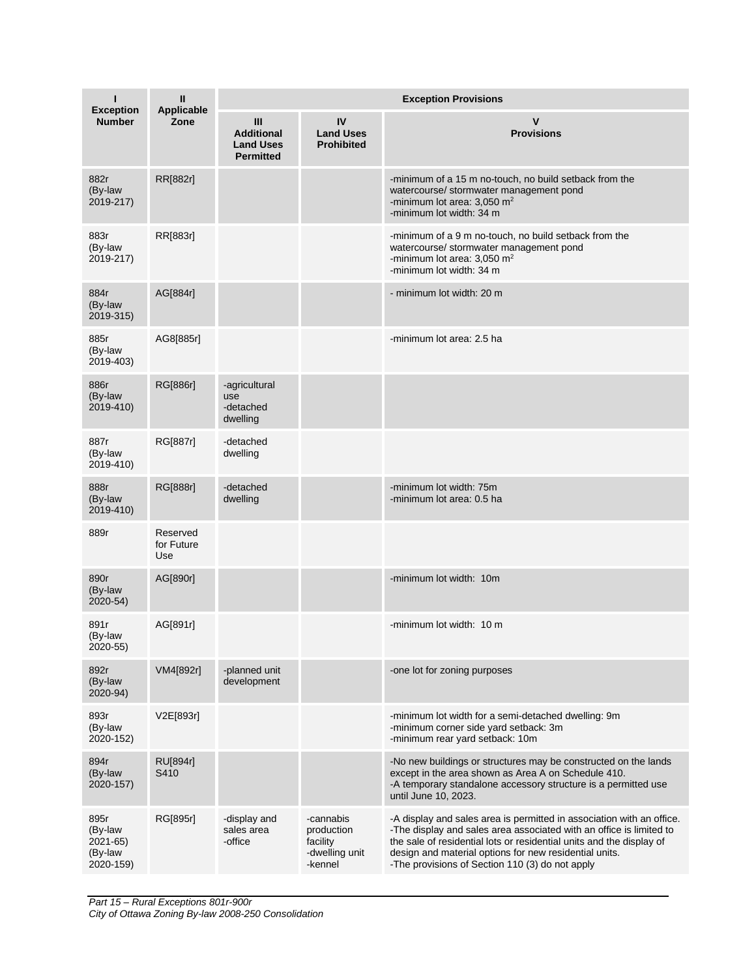| ı<br><b>Exception</b><br><b>Number</b>              | Ш<br>Applicable<br>Zone       | <b>Exception Provisions</b>                                    |                                                                  |                                                                                                                                                                                                                                                                                                                                   |  |
|-----------------------------------------------------|-------------------------------|----------------------------------------------------------------|------------------------------------------------------------------|-----------------------------------------------------------------------------------------------------------------------------------------------------------------------------------------------------------------------------------------------------------------------------------------------------------------------------------|--|
|                                                     |                               | Ш<br><b>Additional</b><br><b>Land Uses</b><br><b>Permitted</b> | IV<br><b>Land Uses</b><br><b>Prohibited</b>                      | v<br><b>Provisions</b>                                                                                                                                                                                                                                                                                                            |  |
| 882r<br>(By-law<br>2019-217)                        | RR[882r]                      |                                                                |                                                                  | -minimum of a 15 m no-touch, no build setback from the<br>watercourse/ stormwater management pond<br>-minimum lot area: $3,050$ m <sup>2</sup><br>-minimum lot width: 34 m                                                                                                                                                        |  |
| 883r<br>(By-law<br>2019-217)                        | RR[883r]                      |                                                                |                                                                  | -minimum of a 9 m no-touch, no build setback from the<br>watercourse/ stormwater management pond<br>-minimum lot area: $3,050$ m <sup>2</sup><br>-minimum lot width: 34 m                                                                                                                                                         |  |
| 884r<br>(By-law<br>2019-315)                        | AG[884r]                      |                                                                |                                                                  | - minimum lot width: 20 m                                                                                                                                                                                                                                                                                                         |  |
| 885r<br>(By-law<br>2019-403)                        | AG8[885r]                     |                                                                |                                                                  | -minimum lot area: 2.5 ha                                                                                                                                                                                                                                                                                                         |  |
| 886r<br>(By-law<br>2019-410)                        | RG[886r]                      | -agricultural<br>use<br>-detached<br>dwelling                  |                                                                  |                                                                                                                                                                                                                                                                                                                                   |  |
| 887r<br>(By-law<br>2019-410)                        | RG[887r]                      | -detached<br>dwelling                                          |                                                                  |                                                                                                                                                                                                                                                                                                                                   |  |
| 888r<br>(By-law<br>2019-410)                        | RG[888r]                      | -detached<br>dwelling                                          |                                                                  | -minimum lot width: 75m<br>-minimum lot area: 0.5 ha                                                                                                                                                                                                                                                                              |  |
| 889r                                                | Reserved<br>for Future<br>Use |                                                                |                                                                  |                                                                                                                                                                                                                                                                                                                                   |  |
| 890r<br>(By-law<br>2020-54)                         | AG[890r]                      |                                                                |                                                                  | -minimum lot width: 10m                                                                                                                                                                                                                                                                                                           |  |
| 891r<br>(By-law<br>2020-55)                         | AG[891r]                      |                                                                |                                                                  | -minimum lot width: 10 m                                                                                                                                                                                                                                                                                                          |  |
| 892r<br>(By-law<br>2020-94)                         | VM4[892r]                     | -planned unit<br>development                                   |                                                                  | -one lot for zoning purposes                                                                                                                                                                                                                                                                                                      |  |
| 893r<br>(By-law<br>2020-152)                        | V2E[893r]                     |                                                                |                                                                  | -minimum lot width for a semi-detached dwelling: 9m<br>-minimum corner side yard setback: 3m<br>-minimum rear yard setback: 10m                                                                                                                                                                                                   |  |
| 894r<br>(By-law<br>2020-157)                        | <b>RU[894r]</b><br>S410       |                                                                |                                                                  | -No new buildings or structures may be constructed on the lands<br>except in the area shown as Area A on Schedule 410.<br>-A temporary standalone accessory structure is a permitted use<br>until June 10, 2023.                                                                                                                  |  |
| 895r<br>(By-law<br>2021-65)<br>(By-law<br>2020-159) | RG[895r]                      | -display and<br>sales area<br>-office                          | -cannabis<br>production<br>facility<br>-dwelling unit<br>-kennel | -A display and sales area is permitted in association with an office.<br>-The display and sales area associated with an office is limited to<br>the sale of residential lots or residential units and the display of<br>design and material options for new residential units.<br>-The provisions of Section 110 (3) do not apply |  |